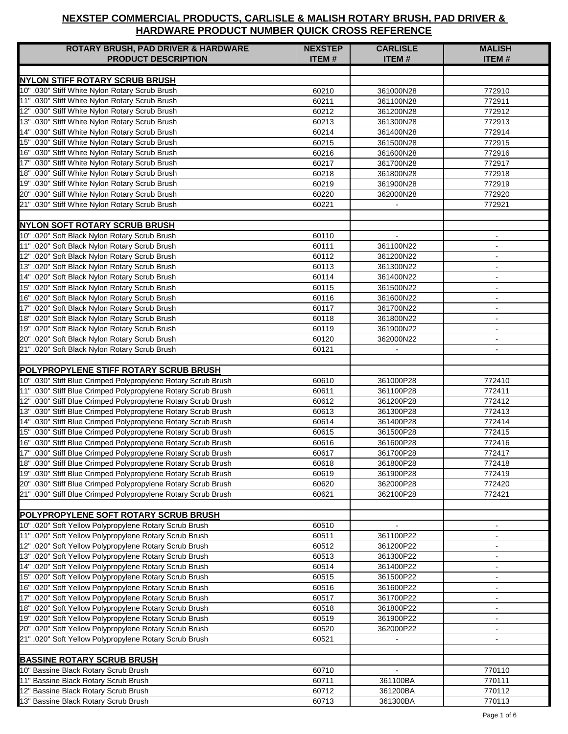| <b>ROTARY BRUSH, PAD DRIVER &amp; HARDWARE</b><br><b>PRODUCT DESCRIPTION</b>                                     | <b>NEXSTEP</b><br><b>ITEM#</b> | <b>CARLISLE</b><br><b>ITEM#</b> | <b>MALISH</b><br><b>ITEM#</b> |
|------------------------------------------------------------------------------------------------------------------|--------------------------------|---------------------------------|-------------------------------|
|                                                                                                                  |                                |                                 |                               |
| <b>NYLON STIFF ROTARY SCRUB BRUSH</b>                                                                            |                                |                                 |                               |
| 10" .030" Stiff White Nylon Rotary Scrub Brush                                                                   | 60210                          | 361000N28                       | 772910                        |
| 11" .030" Stiff White Nylon Rotary Scrub Brush                                                                   | 60211                          | 361100N28                       | 772911                        |
| 12" .030" Stiff White Nylon Rotary Scrub Brush<br>13" .030" Stiff White Nylon Rotary Scrub Brush                 | 60212                          | 361200N28                       | 772912                        |
| 14" .030" Stiff White Nylon Rotary Scrub Brush                                                                   | 60213                          | 361300N28                       | 772913<br>772914              |
| 15" .030" Stiff White Nylon Rotary Scrub Brush                                                                   | 60214<br>60215                 | 361400N28<br>361500N28          | 772915                        |
| 16" .030" Stiff White Nylon Rotary Scrub Brush                                                                   | 60216                          | 361600N28                       | 772916                        |
| 17" .030" Stiff White Nylon Rotary Scrub Brush                                                                   | 60217                          | 361700N28                       | 772917                        |
| 18" .030" Stiff White Nylon Rotary Scrub Brush                                                                   | 60218                          | 361800N28                       | 772918                        |
| 19" .030" Stiff White Nylon Rotary Scrub Brush                                                                   | 60219                          | 361900N28                       | 772919                        |
| 20" .030" Stiff White Nylon Rotary Scrub Brush                                                                   | 60220                          | 362000N28                       | 772920                        |
| 21" .030" Stiff White Nylon Rotary Scrub Brush                                                                   | 60221                          |                                 | 772921                        |
|                                                                                                                  |                                |                                 |                               |
| <b>NYLON SOFT ROTARY SCRUB BRUSH</b>                                                                             |                                |                                 |                               |
| 10" .020" Soft Black Nylon Rotary Scrub Brush                                                                    | 60110                          |                                 |                               |
| 11" .020" Soft Black Nylon Rotary Scrub Brush                                                                    | 60111                          | 361100N22                       | $\sim$                        |
| 12" .020" Soft Black Nylon Rotary Scrub Brush                                                                    | 60112                          | 361200N22                       | $\blacksquare$                |
| 13" .020" Soft Black Nylon Rotary Scrub Brush                                                                    | 60113                          | 361300N22                       | $\blacksquare$                |
| 14" .020" Soft Black Nylon Rotary Scrub Brush                                                                    | 60114                          | 361400N22                       | $\blacksquare$                |
| 15" .020" Soft Black Nylon Rotary Scrub Brush                                                                    | 60115                          | 361500N22                       | $\blacksquare$                |
| 16" .020" Soft Black Nylon Rotary Scrub Brush                                                                    | 60116                          | 361600N22                       | $\blacksquare$                |
| 17" .020" Soft Black Nylon Rotary Scrub Brush                                                                    | 60117                          | 361700N22                       |                               |
| 18" .020" Soft Black Nylon Rotary Scrub Brush                                                                    | 60118                          | 361800N22                       | $\sim$                        |
| 19" .020" Soft Black Nylon Rotary Scrub Brush                                                                    | 60119                          | 361900N22                       | $\blacksquare$                |
| 20" .020" Soft Black Nylon Rotary Scrub Brush                                                                    | 60120                          | 362000N22                       | $\blacksquare$                |
| 21" .020" Soft Black Nylon Rotary Scrub Brush                                                                    | 60121                          |                                 | $\blacksquare$                |
| POLYPROPYLENE STIFF ROTARY SCRUB BRUSH                                                                           |                                |                                 |                               |
| 10" .030" Stiff Blue Crimped Polypropylene Rotary Scrub Brush                                                    | 60610                          | 361000P28                       | 772410                        |
| 11" .030" Stiff Blue Crimped Polypropylene Rotary Scrub Brush                                                    | 60611                          | 361100P28                       | 772411                        |
| 12" .030" Stiff Blue Crimped Polypropylene Rotary Scrub Brush                                                    | 60612                          | 361200P28                       | 772412                        |
| 13" .030" Stiff Blue Crimped Polypropylene Rotary Scrub Brush                                                    | 60613                          | 361300P28                       | 772413                        |
| 14" .030" Stiff Blue Crimped Polypropylene Rotary Scrub Brush                                                    | 60614                          | 361400P28                       | 772414                        |
| 15" .030" Stiff Blue Crimped Polypropylene Rotary Scrub Brush                                                    | 60615                          | 361500P28                       | 772415                        |
| 16" .030" Stiff Blue Crimped Polypropylene Rotary Scrub Brush                                                    | 60616                          | 361600P28                       | 772416                        |
| 17" .030" Stiff Blue Crimped Polypropylene Rotary Scrub Brush                                                    | 60617                          | 361700P28                       | 772417                        |
| 18" .030" Stiff Blue Crimped Polypropylene Rotary Scrub Brush                                                    | 60618                          | 361800P28                       | 772418                        |
| 19" .030" Stiff Blue Crimped Polypropylene Rotary Scrub Brush                                                    | 60619                          | 361900P28                       | 772419                        |
| 20" .030" Stiff Blue Crimped Polypropylene Rotary Scrub Brush                                                    | 60620                          | 362000P28                       | 772420                        |
| 21" .030" Stiff Blue Crimped Polypropylene Rotary Scrub Brush                                                    | 60621                          | 362100P28                       | 772421                        |
|                                                                                                                  |                                |                                 |                               |
| <b>POLYPROPYLENE SOFT ROTARY SCRUB BRUSH</b>                                                                     |                                |                                 |                               |
| 10" .020" Soft Yellow Polypropylene Rotary Scrub Brush                                                           | 60510                          |                                 |                               |
| 11" .020" Soft Yellow Polypropylene Rotary Scrub Brush                                                           | 60511                          | 361100P22                       |                               |
| 12" .020" Soft Yellow Polypropylene Rotary Scrub Brush                                                           | 60512                          | 361200P22                       | $\blacksquare$                |
| 13" .020" Soft Yellow Polypropylene Rotary Scrub Brush                                                           | 60513                          | 361300P22                       | $\blacksquare$                |
| 14" .020" Soft Yellow Polypropylene Rotary Scrub Brush                                                           | 60514                          | 361400P22                       | $\blacksquare$                |
| 15" .020" Soft Yellow Polypropylene Rotary Scrub Brush                                                           | 60515                          | 361500P22                       | $\blacksquare$                |
| 16" .020" Soft Yellow Polypropylene Rotary Scrub Brush<br>17" .020" Soft Yellow Polypropylene Rotary Scrub Brush | 60516                          | 361600P22                       | $\blacksquare$                |
| 18" .020" Soft Yellow Polypropylene Rotary Scrub Brush                                                           | 60517<br>60518                 | 361700P22<br>361800P22          | $\blacksquare$                |
| 19" .020" Soft Yellow Polypropylene Rotary Scrub Brush                                                           | 60519                          | 361900P22                       | $\blacksquare$                |
| 20" .020" Soft Yellow Polypropylene Rotary Scrub Brush                                                           | 60520                          | 362000P22                       | $\blacksquare$                |
| 21" .020" Soft Yellow Polypropylene Rotary Scrub Brush                                                           | 60521                          |                                 | $\blacksquare$                |
|                                                                                                                  |                                |                                 |                               |
| <b>BASSINE ROTARY SCRUB BRUSH</b>                                                                                |                                |                                 |                               |
| 10" Bassine Black Rotary Scrub Brush                                                                             | 60710                          |                                 | 770110                        |
| 11" Bassine Black Rotary Scrub Brush                                                                             | 60711                          | 361100BA                        | 770111                        |
| 12" Bassine Black Rotary Scrub Brush                                                                             | 60712                          | 361200BA                        | 770112                        |
| 13" Bassine Black Rotary Scrub Brush                                                                             | 60713                          | 361300BA                        | 770113                        |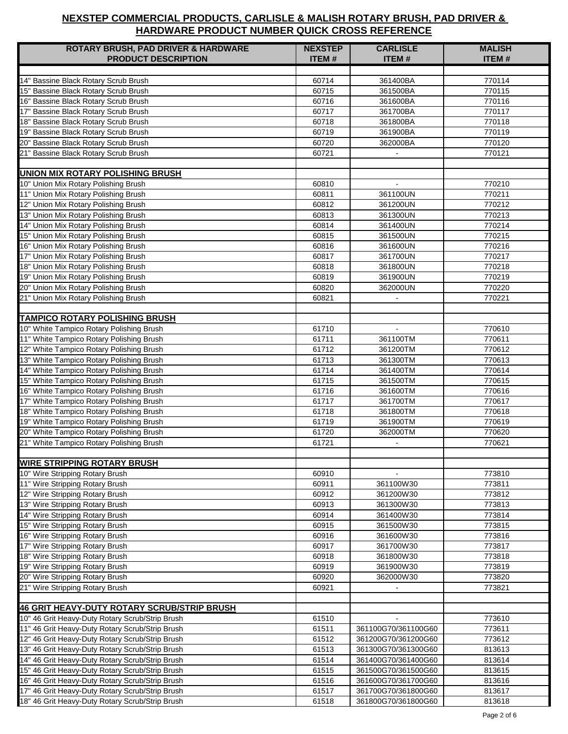| <b>ROTARY BRUSH, PAD DRIVER &amp; HARDWARE</b>                                                     | <b>NEXSTEP</b> | <b>CARLISLE</b>     | <b>MALISH</b>    |
|----------------------------------------------------------------------------------------------------|----------------|---------------------|------------------|
| <b>PRODUCT DESCRIPTION</b>                                                                         | <b>ITEM#</b>   | <b>ITEM#</b>        | <b>ITEM#</b>     |
|                                                                                                    |                |                     |                  |
| 14" Bassine Black Rotary Scrub Brush                                                               | 60714          | 361400BA            | 770114           |
| 15" Bassine Black Rotary Scrub Brush                                                               | 60715          | 361500BA            | 770115           |
| 16" Bassine Black Rotary Scrub Brush                                                               | 60716          | 361600BA            | 770116           |
| 17" Bassine Black Rotary Scrub Brush                                                               | 60717          | 361700BA            | 770117           |
| 18" Bassine Black Rotary Scrub Brush                                                               | 60718          | 361800BA            | 770118           |
| 19" Bassine Black Rotary Scrub Brush                                                               | 60719          | 361900BA            | 770119           |
| 20" Bassine Black Rotary Scrub Brush                                                               | 60720          | 362000BA            | 770120           |
| 21" Bassine Black Rotary Scrub Brush                                                               | 60721          |                     | 770121           |
|                                                                                                    |                |                     |                  |
| <b>UNION MIX ROTARY POLISHING BRUSH</b>                                                            |                |                     |                  |
| 10" Union Mix Rotary Polishing Brush                                                               | 60810          | $\mathbf{r}$        | 770210           |
| 11" Union Mix Rotary Polishing Brush                                                               | 60811          | 361100UN            | 770211           |
| 12" Union Mix Rotary Polishing Brush                                                               | 60812          | 361200UN            | 770212           |
| 13" Union Mix Rotary Polishing Brush                                                               | 60813          | 361300UN            | 770213           |
| 14" Union Mix Rotary Polishing Brush                                                               | 60814          | 361400UN            | 770214           |
| 15" Union Mix Rotary Polishing Brush                                                               | 60815          | 361500UN            | 770215           |
| 16" Union Mix Rotary Polishing Brush                                                               | 60816          | 361600UN            | 770216           |
| 17" Union Mix Rotary Polishing Brush                                                               | 60817          | 361700UN            | 770217           |
| 18" Union Mix Rotary Polishing Brush                                                               | 60818          | 361800UN            | 770218           |
| 19" Union Mix Rotary Polishing Brush                                                               | 60819          | 361900UN            | 770219           |
| 20" Union Mix Rotary Polishing Brush                                                               | 60820          | 362000UN            | 770220           |
| 21" Union Mix Rotary Polishing Brush                                                               | 60821          |                     | 770221           |
|                                                                                                    |                |                     |                  |
| <b>TAMPICO ROTARY POLISHING BRUSH</b>                                                              |                |                     |                  |
| 10" White Tampico Rotary Polishing Brush                                                           | 61710          | $\mathbf{r}$        | 770610           |
| 11" White Tampico Rotary Polishing Brush                                                           | 61711          | 361100TM            | 770611           |
| 12" White Tampico Rotary Polishing Brush                                                           | 61712          | 361200TM            | 770612           |
| 13" White Tampico Rotary Polishing Brush                                                           | 61713          | 361300TM            | 770613           |
| 14" White Tampico Rotary Polishing Brush                                                           | 61714          | 361400TM            | 770614           |
| 15" White Tampico Rotary Polishing Brush                                                           | 61715          | 361500TM            | 770615           |
| 16" White Tampico Rotary Polishing Brush                                                           | 61716          | 361600TM            | 770616           |
| 17" White Tampico Rotary Polishing Brush                                                           | 61717          | 361700TM            | 770617           |
| 18" White Tampico Rotary Polishing Brush                                                           | 61718          | 361800TM            | 770618           |
| 19" White Tampico Rotary Polishing Brush                                                           | 61719          | 361900TM            | 770619           |
| 20" White Tampico Rotary Polishing Brush                                                           | 61720          | 362000TM            | 770620           |
| 21" White Tampico Rotary Polishing Brush                                                           | 61721          | $\blacksquare$      | 770621           |
|                                                                                                    |                |                     |                  |
| <b>WIRE STRIPPING ROTARY BRUSH</b>                                                                 |                |                     |                  |
| 10" Wire Stripping Rotary Brush                                                                    | 60910          |                     | 773810           |
| 11" Wire Stripping Rotary Brush                                                                    | 60911          | 361100W30           | 773811           |
| 12" Wire Stripping Rotary Brush                                                                    | 60912          | 361200W30           | 773812           |
| 13" Wire Stripping Rotary Brush                                                                    | 60913          | 361300W30           | 773813           |
| 14" Wire Stripping Rotary Brush                                                                    | 60914          | 361400W30           | 773814           |
| 15" Wire Stripping Rotary Brush                                                                    | 60915          | 361500W30           | 773815           |
| 16" Wire Stripping Rotary Brush                                                                    | 60916          | 361600W30           | 773816           |
| 17" Wire Stripping Rotary Brush                                                                    | 60917          | 361700W30           | 773817           |
| 18" Wire Stripping Rotary Brush                                                                    | 60918          | 361800W30           | 773818           |
| 19" Wire Stripping Rotary Brush                                                                    | 60919          | 361900W30           | 773819           |
| 20" Wire Stripping Rotary Brush                                                                    | 60920          | 362000W30           | 773820           |
| 21" Wire Stripping Rotary Brush                                                                    | 60921          |                     | 773821           |
|                                                                                                    |                |                     |                  |
| 46 GRIT HEAVY-DUTY ROTARY SCRUB/STRIP BRUSH                                                        |                |                     |                  |
| 10" 46 Grit Heavy-Duty Rotary Scrub/Strip Brush                                                    | 61510          | $\mathbf{r}$        | 773610           |
| 11" 46 Grit Heavy-Duty Rotary Scrub/Strip Brush                                                    | 61511          | 361100G70/361100G60 | 773611           |
| 12" 46 Grit Heavy-Duty Rotary Scrub/Strip Brush                                                    | 61512          | 361200G70/361200G60 | 773612           |
| 13" 46 Grit Heavy-Duty Rotary Scrub/Strip Brush                                                    | 61513          | 361300G70/361300G60 | 813613           |
| 14" 46 Grit Heavy-Duty Rotary Scrub/Strip Brush                                                    | 61514          | 361400G70/361400G60 | 813614           |
| 15" 46 Grit Heavy-Duty Rotary Scrub/Strip Brush                                                    | 61515          | 361500G70/361500G60 | 813615           |
| 16" 46 Grit Heavy-Duty Rotary Scrub/Strip Brush                                                    | 61516          | 361600G70/361700G60 | 813616           |
|                                                                                                    |                | 361700G70/361800G60 |                  |
| 17" 46 Grit Heavy-Duty Rotary Scrub/Strip Brush<br>18" 46 Grit Heavy-Duty Rotary Scrub/Strip Brush | 61517          |                     | 813617<br>813618 |
|                                                                                                    | 61518          | 361800G70/361800G60 |                  |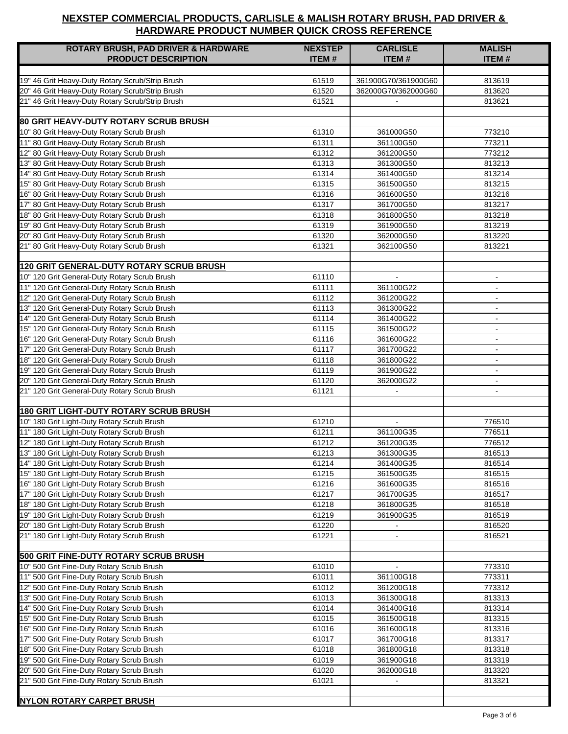| <b>ROTARY BRUSH, PAD DRIVER &amp; HARDWARE</b>                                            | <b>NEXSTEP</b> | <b>CARLISLE</b>             | <b>MALISH</b>    |
|-------------------------------------------------------------------------------------------|----------------|-----------------------------|------------------|
| <b>PRODUCT DESCRIPTION</b>                                                                | <b>ITEM#</b>   | <b>ITEM#</b>                | <b>ITEM#</b>     |
|                                                                                           |                |                             |                  |
| 19" 46 Grit Heavy-Duty Rotary Scrub/Strip Brush                                           | 61519          | 361900G70/361900G60         | 813619           |
| 20" 46 Grit Heavy-Duty Rotary Scrub/Strip Brush                                           | 61520          | 362000G70/362000G60         | 813620           |
| 21" 46 Grit Heavy-Duty Rotary Scrub/Strip Brush                                           | 61521          |                             | 813621           |
|                                                                                           |                |                             |                  |
| <b>80 GRIT HEAVY-DUTY ROTARY SCRUB BRUSH</b>                                              |                |                             |                  |
| 10" 80 Grit Heavy-Duty Rotary Scrub Brush                                                 | 61310          | 361000G50                   | 773210           |
| 11" 80 Grit Heavy-Duty Rotary Scrub Brush                                                 | 61311          | 361100G50                   | 773211           |
| 12" 80 Grit Heavy-Duty Rotary Scrub Brush                                                 | 61312          | 361200G50                   | 773212           |
| 13" 80 Grit Heavy-Duty Rotary Scrub Brush                                                 | 61313          | 361300G50                   | 813213           |
| 14" 80 Grit Heavy-Duty Rotary Scrub Brush                                                 | 61314          | 361400G50                   | 813214           |
| 15" 80 Grit Heavy-Duty Rotary Scrub Brush                                                 | 61315          | 361500G50                   | 813215           |
| 16" 80 Grit Heavy-Duty Rotary Scrub Brush                                                 | 61316          | 361600G50                   | 813216           |
| 17" 80 Grit Heavy-Duty Rotary Scrub Brush                                                 | 61317          | 361700G50                   | 813217           |
| 18" 80 Grit Heavy-Duty Rotary Scrub Brush                                                 | 61318          | 361800G50                   | 813218           |
| 19" 80 Grit Heavy-Duty Rotary Scrub Brush<br>20" 80 Grit Heavy-Duty Rotary Scrub Brush    | 61319          | 361900G50                   | 813219           |
| 21" 80 Grit Heavy-Duty Rotary Scrub Brush                                                 | 61320<br>61321 | 362000G50<br>362100G50      | 813220<br>813221 |
|                                                                                           |                |                             |                  |
| <b>120 GRIT GENERAL-DUTY ROTARY SCRUB BRUSH</b>                                           |                |                             |                  |
| 10" 120 Grit General-Duty Rotary Scrub Brush                                              | 61110          | $\blacksquare$              | $\blacksquare$   |
| 11" 120 Grit General-Duty Rotary Scrub Brush                                              | 61111          | 361100G22                   | $\overline{a}$   |
| 12" 120 Grit General-Duty Rotary Scrub Brush                                              | 61112          | 361200G22                   | $\blacksquare$   |
| 13" 120 Grit General-Duty Rotary Scrub Brush                                              | 61113          | 361300G22                   | $\sim$           |
| 14" 120 Grit General-Duty Rotary Scrub Brush                                              | 61114          | 361400G22                   |                  |
| 15" 120 Grit General-Duty Rotary Scrub Brush                                              | 61115          | 361500G22                   | $\sim$           |
| 16" 120 Grit General-Duty Rotary Scrub Brush                                              | 61116          | 361600G22                   | $\sim$           |
| 17" 120 Grit General-Duty Rotary Scrub Brush                                              | 61117          | 361700G22                   | $\blacksquare$   |
| 18" 120 Grit General-Duty Rotary Scrub Brush                                              | 61118          | 361800G22                   | $\blacksquare$   |
| 19" 120 Grit General-Duty Rotary Scrub Brush                                              | 61119          | 361900G22                   | $\blacksquare$   |
| 20" 120 Grit General-Duty Rotary Scrub Brush                                              | 61120          | 362000G22                   | $\sim$           |
| 21" 120 Grit General-Duty Rotary Scrub Brush                                              | 61121          |                             |                  |
|                                                                                           |                |                             |                  |
| <b>180 GRIT LIGHT-DUTY ROTARY SCRUB BRUSH</b>                                             |                |                             |                  |
| 10" 180 Grit Light-Duty Rotary Scrub Brush                                                | 61210          | $\sim$                      | 776510           |
| 11" 180 Grit Light-Duty Rotary Scrub Brush                                                | 61211          | 361100G35                   | 776511           |
| 12" 180 Grit Light-Duty Rotary Scrub Brush                                                | 61212          | 361200G35                   | 776512           |
| 13" 180 Grit Light-Duty Rotary Scrub Brush                                                | 61213          | 361300G35                   | 816513           |
| 14" 180 Grit Light-Duty Rotary Scrub Brush                                                | 61214          | 361400G35                   | 816514           |
| 15" 180 Grit Light-Duty Rotary Scrub Brush                                                | 61215          | 361500G35                   | 816515           |
| 16" 180 Grit Light-Duty Rotary Scrub Brush                                                | 61216          | 361600G35                   | 816516           |
| 17" 180 Grit Light-Duty Rotary Scrub Brush                                                | 61217          | 361700G35                   | 816517           |
| 18" 180 Grit Light-Duty Rotary Scrub Brush                                                | 61218          | 361800G35                   | 816518           |
| 19" 180 Grit Light-Duty Rotary Scrub Brush                                                | 61219          | 361900G35                   | 816519           |
| 20" 180 Grit Light-Duty Rotary Scrub Brush                                                | 61220          |                             | 816520           |
| 21" 180 Grit Light-Duty Rotary Scrub Brush                                                | 61221          |                             | 816521           |
|                                                                                           |                |                             |                  |
| <b>500 GRIT FINE-DUTY ROTARY SCRUB BRUSH</b><br>10" 500 Grit Fine-Duty Rotary Scrub Brush |                |                             |                  |
| 11" 500 Grit Fine-Duty Rotary Scrub Brush                                                 | 61010<br>61011 | $\blacksquare$<br>361100G18 | 773310<br>773311 |
| 12" 500 Grit Fine-Duty Rotary Scrub Brush                                                 |                | 361200G18                   | 773312           |
| 13" 500 Grit Fine-Duty Rotary Scrub Brush                                                 | 61012<br>61013 | 361300G18                   | 813313           |
| 14" 500 Grit Fine-Duty Rotary Scrub Brush                                                 | 61014          | 361400G18                   | 813314           |
| 15" 500 Grit Fine-Duty Rotary Scrub Brush                                                 | 61015          | 361500G18                   | 813315           |
| 16" 500 Grit Fine-Duty Rotary Scrub Brush                                                 | 61016          | 361600G18                   | 813316           |
| 17" 500 Grit Fine-Duty Rotary Scrub Brush                                                 | 61017          | 361700G18                   | 813317           |
| 18" 500 Grit Fine-Duty Rotary Scrub Brush                                                 | 61018          | 361800G18                   | 813318           |
| 19" 500 Grit Fine-Duty Rotary Scrub Brush                                                 | 61019          | 361900G18                   | 813319           |
| 20" 500 Grit Fine-Duty Rotary Scrub Brush                                                 | 61020          | 362000G18                   | 813320           |
| 21" 500 Grit Fine-Duty Rotary Scrub Brush                                                 | 61021          |                             | 813321           |
|                                                                                           |                |                             |                  |
| <b>NYLON ROTARY CARPET BRUSH</b>                                                          |                |                             |                  |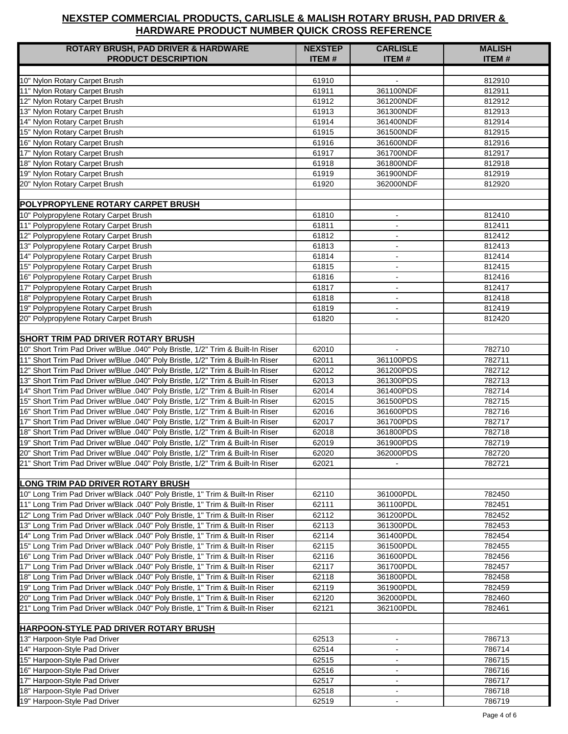| <b>ROTARY BRUSH, PAD DRIVER &amp; HARDWARE</b>                                                                                                                     | <b>NEXSTEP</b> | <b>CARLISLE</b>          | <b>MALISH</b>    |
|--------------------------------------------------------------------------------------------------------------------------------------------------------------------|----------------|--------------------------|------------------|
| <b>PRODUCT DESCRIPTION</b>                                                                                                                                         | <b>ITEM#</b>   | <b>ITEM#</b>             | <b>ITEM#</b>     |
|                                                                                                                                                                    |                |                          |                  |
| 10" Nylon Rotary Carpet Brush                                                                                                                                      | 61910          |                          | 812910           |
| 11" Nylon Rotary Carpet Brush                                                                                                                                      | 61911          | 361100NDF                | 812911           |
| 12" Nylon Rotary Carpet Brush                                                                                                                                      | 61912          | 361200NDF                | 812912           |
| 13" Nylon Rotary Carpet Brush                                                                                                                                      | 61913          | 361300NDF                | 812913           |
| 14" Nylon Rotary Carpet Brush                                                                                                                                      | 61914          | 361400NDF                | 812914           |
| 15" Nylon Rotary Carpet Brush                                                                                                                                      | 61915          | 361500NDF                | 812915           |
| 16" Nylon Rotary Carpet Brush                                                                                                                                      | 61916          | 361600NDF                | 812916           |
| 17" Nylon Rotary Carpet Brush                                                                                                                                      | 61917          | 361700NDF                | 812917           |
| 18" Nylon Rotary Carpet Brush                                                                                                                                      | 61918          | 361800NDF                | 812918           |
| 19" Nylon Rotary Carpet Brush                                                                                                                                      | 61919          | 361900NDF                | 812919           |
| 20" Nylon Rotary Carpet Brush                                                                                                                                      | 61920          | 362000NDF                | 812920           |
|                                                                                                                                                                    |                |                          |                  |
| <b>POLYPROPYLENE ROTARY CARPET BRUSH</b>                                                                                                                           |                |                          |                  |
| 10" Polypropylene Rotary Carpet Brush                                                                                                                              | 61810          | $\blacksquare$           | 812410           |
| 11" Polypropylene Rotary Carpet Brush                                                                                                                              | 61811          |                          | 812411           |
| 12" Polypropylene Rotary Carpet Brush                                                                                                                              | 61812          | $\blacksquare$           | 812412           |
| 13" Polypropylene Rotary Carpet Brush                                                                                                                              | 61813          | $\sim$                   | 812413           |
| 14" Polypropylene Rotary Carpet Brush                                                                                                                              | 61814          | $\blacksquare$           | 812414           |
| 15" Polypropylene Rotary Carpet Brush                                                                                                                              | 61815          | $\sim$                   | 812415           |
| 16" Polypropylene Rotary Carpet Brush                                                                                                                              | 61816          | $\blacksquare$           | 812416           |
| 17" Polypropylene Rotary Carpet Brush                                                                                                                              | 61817          | $\blacksquare$           | 812417           |
| 18" Polypropylene Rotary Carpet Brush                                                                                                                              | 61818          | $\blacksquare$           | 812418           |
| 19" Polypropylene Rotary Carpet Brush                                                                                                                              | 61819          | $\sim$                   | 812419           |
| 20" Polypropylene Rotary Carpet Brush                                                                                                                              | 61820          |                          | 812420           |
|                                                                                                                                                                    |                |                          |                  |
| <b>SHORT TRIM PAD DRIVER ROTARY BRUSH</b>                                                                                                                          |                |                          |                  |
| 10" Short Trim Pad Driver w/Blue .040" Poly Bristle, 1/2" Trim & Built-In Riser<br>11" Short Trim Pad Driver w/Blue .040" Poly Bristle, 1/2" Trim & Built-In Riser | 62010<br>62011 | 361100PDS                | 782710<br>782711 |
| 12" Short Trim Pad Driver w/Blue .040" Poly Bristle, 1/2" Trim & Built-In Riser                                                                                    | 62012          | 361200PDS                | 782712           |
| 13" Short Trim Pad Driver w/Blue .040" Poly Bristle, 1/2" Trim & Built-In Riser                                                                                    | 62013          | 361300PDS                | 782713           |
| 14" Short Trim Pad Driver w/Blue .040" Poly Bristle, 1/2" Trim & Built-In Riser                                                                                    | 62014          | 361400PDS                | 782714           |
| 15" Short Trim Pad Driver w/Blue .040" Poly Bristle, 1/2" Trim & Built-In Riser                                                                                    | 62015          | 361500PDS                | 782715           |
| 16" Short Trim Pad Driver w/Blue .040" Poly Bristle, 1/2" Trim & Built-In Riser                                                                                    | 62016          | 361600PDS                | 782716           |
| 17" Short Trim Pad Driver w/Blue .040" Poly Bristle, 1/2" Trim & Built-In Riser                                                                                    | 62017          | 361700PDS                | 782717           |
| 18" Short Trim Pad Driver w/Blue .040" Poly Bristle, 1/2" Trim & Built-In Riser                                                                                    | 62018          | 361800PDS                | 782718           |
| 19" Short Trim Pad Driver w/Blue .040" Poly Bristle, 1/2" Trim & Built-In Riser                                                                                    | 62019          | 361900PDS                | 782719           |
| 20" Short Trim Pad Driver w/Blue .040" Poly Bristle, 1/2" Trim & Built-In Riser                                                                                    | 62020          | 362000PDS                | 782720           |
| 21" Short Trim Pad Driver w/Blue .040" Poly Bristle, 1/2" Trim & Built-In Riser                                                                                    | 62021          |                          | 782721           |
|                                                                                                                                                                    |                |                          |                  |
| <b>LONG TRIM PAD DRIVER ROTARY BRUSH</b>                                                                                                                           |                |                          |                  |
| 10" Long Trim Pad Driver w/Black .040" Poly Bristle, 1" Trim & Built-In Riser                                                                                      | 62110          | 361000PDL                | 782450           |
| 11" Long Trim Pad Driver w/Black .040" Poly Bristle, 1" Trim & Built-In Riser                                                                                      | 62111          | 361100PDL                | 782451           |
| 12" Long Trim Pad Driver w/Black .040" Poly Bristle, 1" Trim & Built-In Riser                                                                                      | 62112          | 361200PDL                | 782452           |
| 13" Long Trim Pad Driver w/Black .040" Poly Bristle, 1" Trim & Built-In Riser                                                                                      | 62113          | 361300PDL                | 782453           |
| 14" Long Trim Pad Driver w/Black .040" Poly Bristle, 1" Trim & Built-In Riser                                                                                      | 62114          | 361400PDL                | 782454           |
| 15" Long Trim Pad Driver w/Black .040" Poly Bristle, 1" Trim & Built-In Riser                                                                                      | 62115          | 361500PDL                | 782455           |
| 16" Long Trim Pad Driver w/Black .040" Poly Bristle, 1" Trim & Built-In Riser                                                                                      | 62116          | 361600PDL                | 782456           |
| 17" Long Trim Pad Driver w/Black .040" Poly Bristle, 1" Trim & Built-In Riser                                                                                      | 62117          | 361700PDL                | 782457           |
| 18" Long Trim Pad Driver w/Black .040" Poly Bristle, 1" Trim & Built-In Riser                                                                                      | 62118          | 361800PDL                | 782458           |
| 19" Long Trim Pad Driver w/Black .040" Poly Bristle, 1" Trim & Built-In Riser                                                                                      | 62119          | 361900PDL                | 782459           |
| 20" Long Trim Pad Driver w/Black .040" Poly Bristle, 1" Trim & Built-In Riser                                                                                      | 62120          | 362000PDL                | 782460           |
| 21" Long Trim Pad Driver w/Black .040" Poly Bristle, 1" Trim & Built-In Riser                                                                                      | 62121          | 362100PDL                | 782461           |
|                                                                                                                                                                    |                |                          |                  |
| HARPOON-STYLE PAD DRIVER ROTARY BRUSH                                                                                                                              |                |                          |                  |
| 13" Harpoon-Style Pad Driver                                                                                                                                       | 62513          | $\blacksquare$           | 786713           |
| 14" Harpoon-Style Pad Driver                                                                                                                                       | 62514          |                          | 786714           |
| 15" Harpoon-Style Pad Driver                                                                                                                                       | 62515          | $\blacksquare$           | 786715           |
| 16" Harpoon-Style Pad Driver                                                                                                                                       | 62516          | $\blacksquare$           | 786716           |
| 17" Harpoon-Style Pad Driver                                                                                                                                       | 62517          | $\overline{\phantom{a}}$ | 786717           |
| 18" Harpoon-Style Pad Driver                                                                                                                                       | 62518          |                          | 786718           |
| 19" Harpoon-Style Pad Driver                                                                                                                                       | 62519          | $\omega$                 | 786719           |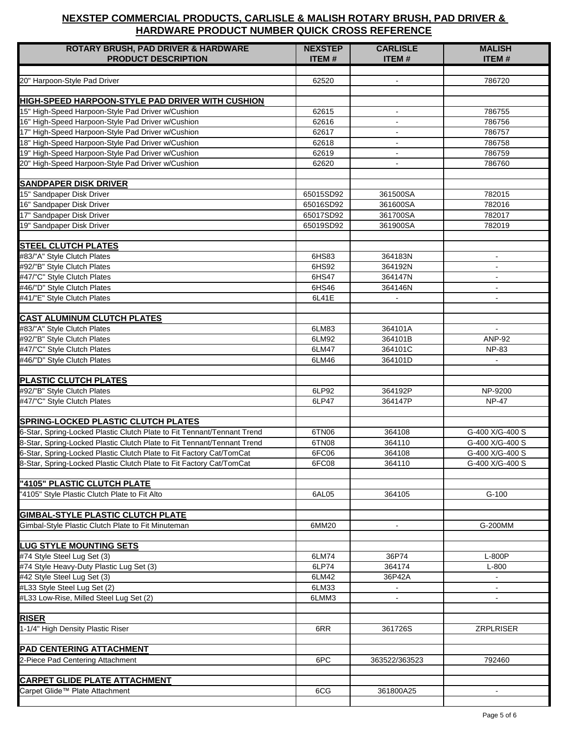| <b>ROTARY BRUSH, PAD DRIVER &amp; HARDWARE</b>                               | <b>NEXSTEP</b>         | <b>CARLISLE</b> | <b>MALISH</b>    |
|------------------------------------------------------------------------------|------------------------|-----------------|------------------|
| <b>PRODUCT DESCRIPTION</b>                                                   | <b>ITEM#</b>           | <b>ITEM#</b>    | <b>ITEM#</b>     |
|                                                                              |                        |                 |                  |
| 20" Harpoon-Style Pad Driver                                                 | 62520                  | $\sim$          | 786720           |
| HIGH-SPEED HARPOON-STYLE PAD DRIVER WITH CUSHION                             |                        |                 |                  |
| 15" High-Speed Harpoon-Style Pad Driver w/Cushion                            | 62615                  | $\blacksquare$  | 786755           |
| 16" High-Speed Harpoon-Style Pad Driver w/Cushion                            | 62616                  | $\blacksquare$  | 786756           |
| 17" High-Speed Harpoon-Style Pad Driver w/Cushion                            | 62617                  | $\blacksquare$  | 786757           |
| 18" High-Speed Harpoon-Style Pad Driver w/Cushion                            | 62618                  | $\blacksquare$  | 786758           |
| 19" High-Speed Harpoon-Style Pad Driver w/Cushion                            | 62619                  | $\blacksquare$  | 786759           |
| 20" High-Speed Harpoon-Style Pad Driver w/Cushion                            | 62620                  | $\blacksquare$  | 786760           |
|                                                                              |                        |                 |                  |
| <b>SANDPAPER DISK DRIVER</b>                                                 |                        |                 |                  |
| 15" Sandpaper Disk Driver                                                    | 65015SD92              | 361500SA        | 782015           |
| 16" Sandpaper Disk Driver                                                    | 65016SD92              | 361600SA        | 782016           |
| 17" Sandpaper Disk Driver<br>19" Sandpaper Disk Driver                       | 65017SD92<br>65019SD92 | 361700SA        | 782017<br>782019 |
|                                                                              |                        | 361900SA        |                  |
| <b>STEEL CLUTCH PLATES</b>                                                   |                        |                 |                  |
| #83/"A" Style Clutch Plates                                                  | 6HS83                  | 364183N         | $\sim$           |
| #92/"B" Style Clutch Plates                                                  | 6HS92                  | 364192N         | $\blacksquare$   |
| #47/"C" Style Clutch Plates                                                  | 6HS47                  | 364147N         | $\blacksquare$   |
| #46/"D" Style Clutch Plates                                                  | 6HS46                  | 364146N         | $\blacksquare$   |
| #41/"E" Style Clutch Plates                                                  | 6L41E                  | $\blacksquare$  | $\blacksquare$   |
|                                                                              |                        |                 |                  |
| <b>CAST ALUMINUM CLUTCH PLATES</b>                                           |                        |                 |                  |
| #83/"A" Style Clutch Plates                                                  | 6LM83                  | 364101A         | $\sim$           |
| #92/"B" Style Clutch Plates                                                  | 6LM92                  | 364101B         | <b>ANP-92</b>    |
| #47/"C" Style Clutch Plates                                                  | 6LM47                  | 364101C         | <b>NP-83</b>     |
| #46/"D" Style Clutch Plates                                                  | 6LM46                  | 364101D         |                  |
| <b>PLASTIC CLUTCH PLATES</b>                                                 |                        |                 |                  |
| #92/"B" Style Clutch Plates                                                  | 6LP92                  | 364192P         | NP-9200          |
| #47/"C" Style Clutch Plates                                                  | 6LP47                  | 364147P         | <b>NP-47</b>     |
|                                                                              |                        |                 |                  |
| <b>SPRING-LOCKED PLASTIC CLUTCH PLATES</b>                                   |                        |                 |                  |
| 6-Star, Spring-Locked Plastic Clutch Plate to Fit Tennant/Tennant Trend      | 6TN06                  | 364108          | G-400 X/G-400 S  |
| 8-Star, Spring-Locked Plastic Clutch Plate to Fit Tennant/Tennant Trend      | 6TN08                  | 364110          | G-400 X/G-400 S  |
| 6-Star, Spring-Locked Plastic Clutch Plate to Fit Factory Cat/TomCat         | 6FC06                  | 364108          | G-400 X/G-400 S  |
| 8-Star, Spring-Locked Plastic Clutch Plate to Fit Factory Cat/TomCat         | 6FC08                  | 364110          | G-400 X/G-400 S  |
|                                                                              |                        |                 |                  |
| "4105" PLASTIC CLUTCH PLATE<br>'4105" Style Plastic Clutch Plate to Fit Alto |                        |                 | $G-100$          |
|                                                                              | 6AL05                  | 364105          |                  |
| <b>GIMBAL-STYLE PLASTIC CLUTCH PLATE</b>                                     |                        |                 |                  |
| Gimbal-Style Plastic Clutch Plate to Fit Minuteman                           | 6MM20                  | $\blacksquare$  | G-200MM          |
|                                                                              |                        |                 |                  |
| <b>LUG STYLE MOUNTING SETS</b>                                               |                        |                 |                  |
| #74 Style Steel Lug Set (3)                                                  | 6LM74                  | 36P74           | L-800P           |
| #74 Style Heavy-Duty Plastic Lug Set (3)                                     | 6LP74                  | 364174          | $L-800$          |
| #42 Style Steel Lug Set (3)                                                  | 6LM42                  | 36P42A          |                  |
| #L33 Style Steel Lug Set (2)                                                 | 6LM33                  | $\blacksquare$  |                  |
| #L33 Low-Rise, Milled Steel Lug Set (2)                                      | 6LMM3                  |                 |                  |
|                                                                              |                        |                 |                  |
| <b>RISER</b>                                                                 |                        |                 |                  |
| 1-1/4" High Density Plastic Riser                                            | 6RR                    | 361726S         | <b>ZRPLRISER</b> |
| <b>PAD CENTERING ATTACHMENT</b>                                              |                        |                 |                  |
| 2-Piece Pad Centering Attachment                                             | 6PC                    | 363522/363523   | 792460           |
|                                                                              |                        |                 |                  |
| <b>CARPET GLIDE PLATE ATTACHMENT</b>                                         |                        |                 |                  |
| Carpet Glide™ Plate Attachment                                               | 6CG                    | 361800A25       |                  |
|                                                                              |                        |                 |                  |